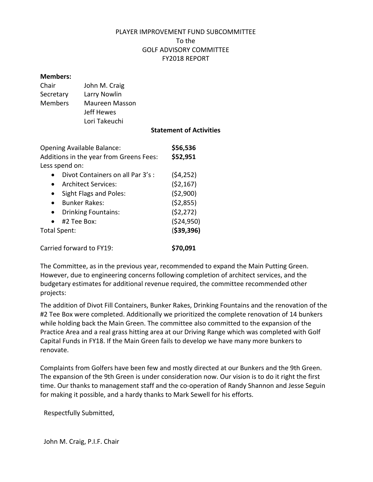## PLAYER IMPROVEMENT FUND SUBCOMMITTEE To the GOLF ADVISORY COMMITTEE FY2018 REPORT

| <b>Members:</b>                            |                |                                |
|--------------------------------------------|----------------|--------------------------------|
| Chair                                      | John M. Craig  |                                |
| Secretary                                  | Larry Nowlin   |                                |
| Members                                    | Maureen Masson |                                |
|                                            | Jeff Hewes     |                                |
|                                            | Lori Takeuchi  |                                |
|                                            |                | <b>Statement of Activities</b> |
| <b>Opening Available Balance:</b>          |                | \$56,536                       |
| Additions in the year from Greens Fees:    |                | \$52,951                       |
| Less spend on:                             |                |                                |
| Divot Containers on all Par 3's :          |                | (54, 252)                      |
| Architect Services:                        |                | (52, 167)                      |
| <b>Sight Flags and Poles:</b><br>$\bullet$ |                | (52,900)                       |
| Bunker Rakes:<br>$\bullet$                 |                | (52, 855)                      |
| <b>Drinking Fountains:</b><br>$\bullet$    |                | (52, 272)                      |
| #2 Tee Box:                                |                | (524, 950)                     |
| Total Spent:                               |                | (\$39,396)                     |
| Carried forward to FY19:                   |                | \$70,091                       |

The Committee, as in the previous year, recommended to expand the Main Putting Green. However, due to engineering concerns following completion of architect services, and the budgetary estimates for additional revenue required, the committee recommended other projects:

The addition of Divot Fill Containers, Bunker Rakes, Drinking Fountains and the renovation of the #2 Tee Box were completed. Additionally we prioritized the complete renovation of 14 bunkers while holding back the Main Green. The committee also committed to the expansion of the Practice Area and a real grass hitting area at our Driving Range which was completed with Golf Capital Funds in FY18. If the Main Green fails to develop we have many more bunkers to renovate.

Complaints from Golfers have been few and mostly directed at our Bunkers and the 9th Green. The expansion of the 9th Green is under consideration now. Our vision is to do it right the first time. Our thanks to management staff and the co-operation of Randy Shannon and Jesse Seguin for making it possible, and a hardy thanks to Mark Sewell for his efforts.

Respectfully Submitted,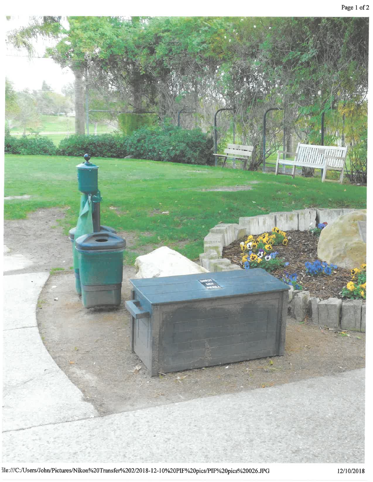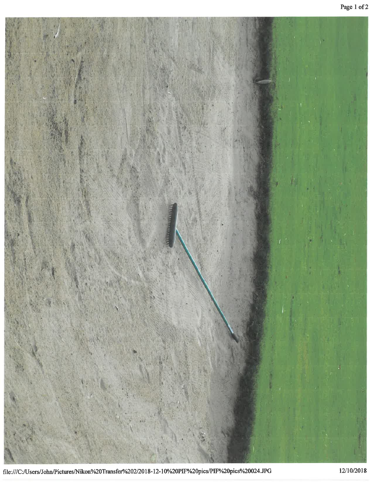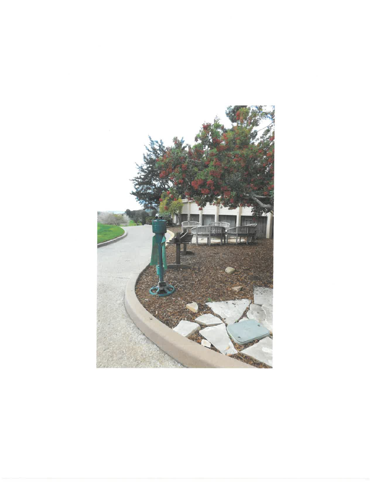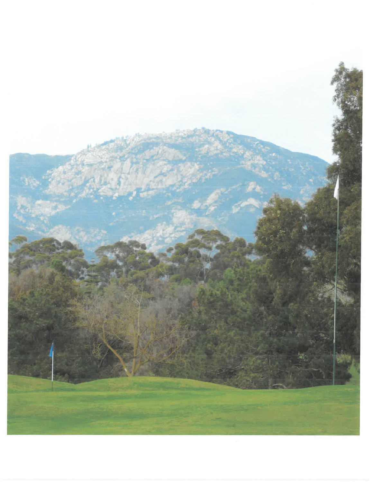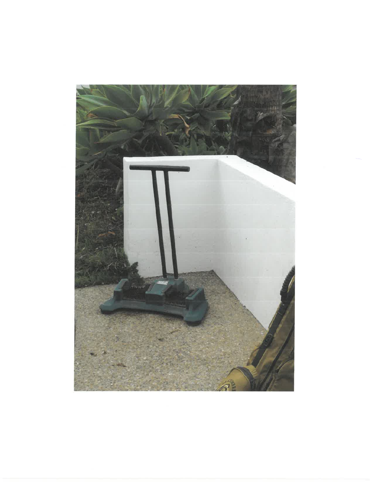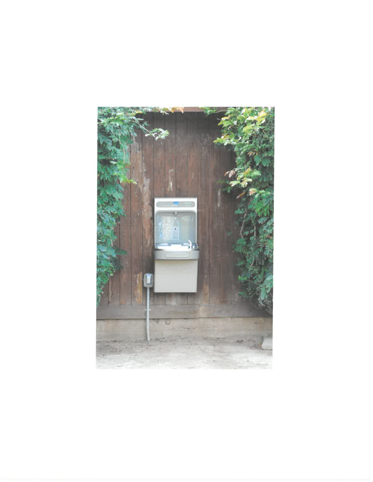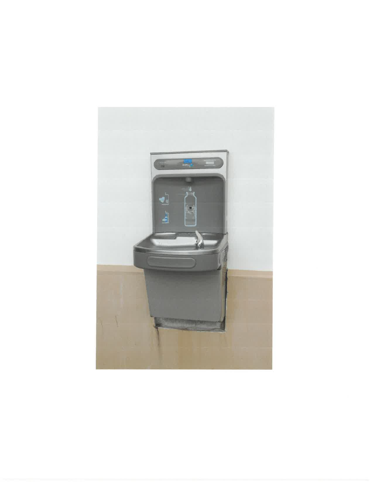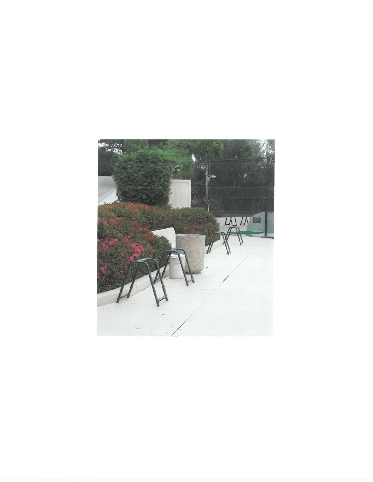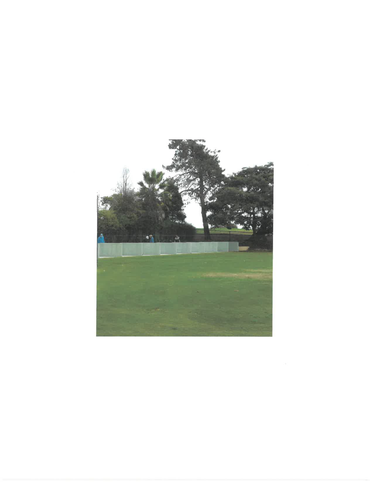